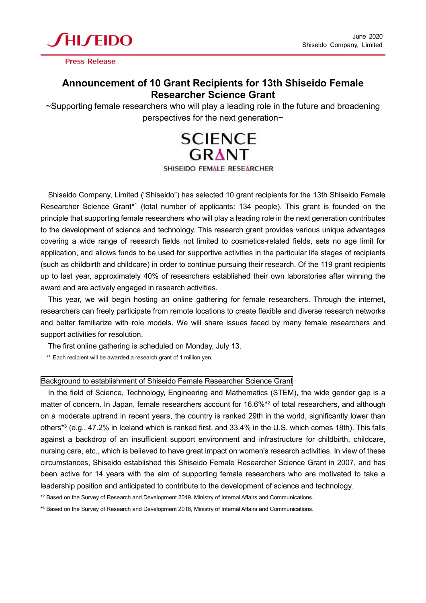

**Press Release** 

## **Announcement of 10 Grant Recipients for 13th Shiseido Female Researcher Science Grant**

~Supporting female researchers who will play a leading role in the future and broadening perspectives for the next generation~



SHISEIDO FEMALE RESEARCHER

Shiseido Company, Limited ("Shiseido") has selected 10 grant recipients for the 13th Shiseido Female Researcher Science Grant\*1 (total number of applicants: 134 people). This grant is founded on the principle that supporting female researchers who will play a leading role in the next generation contributes to the development of science and technology. This research grant provides various unique advantages covering a wide range of research fields not limited to cosmetics-related fields, sets no age limit for application, and allows funds to be used for supportive activities in the particular life stages of recipients (such as childbirth and childcare) in order to continue pursuing their research. Of the 119 grant recipients up to last year, approximately 40% of researchers established their own laboratories after winning the award and are actively engaged in research activities.

This year, we will begin hosting an online gathering for female researchers. Through the internet, researchers can freely participate from remote locations to create flexible and diverse research networks and better familiarize with role models. We will share issues faced by many female researchers and support activities for resolution.

The first online gathering is scheduled on Monday, July 13.

\* <sup>1</sup> Each recipient will be awarded a research grant of 1 million yen.

## Background to establishment of Shiseido Female Researcher Science Grant

In the field of Science, Technology, Engineering and Mathematics (STEM), the wide gender gap is a matter of concern. In Japan, female researchers account for 16.6%\*<sup>2</sup> of total researchers, and although on a moderate uptrend in recent years, the country is ranked 29th in the world, significantly lower than others\* 3 (e.g., 47.2% in Iceland which is ranked first, and 33.4% in the U.S. which comes 18th). This falls against a backdrop of an insufficient support environment and infrastructure for childbirth, childcare, nursing care, etc., which is believed to have great impact on women's research activities. In view of these circumstances, Shiseido established this Shiseido Female Researcher Science Grant in 2007, and has been active for 14 years with the aim of supporting female researchers who are motivated to take a leadership position and anticipated to contribute to the development of science and technology.

 $^{\ast2}$  Based on the Survey of Research and Development 2019, Ministry of Internal Affairs and Communications.

 $^{\ast3}$  Based on the Survey of Research and Development 2018, Ministry of Internal Affairs and Communications.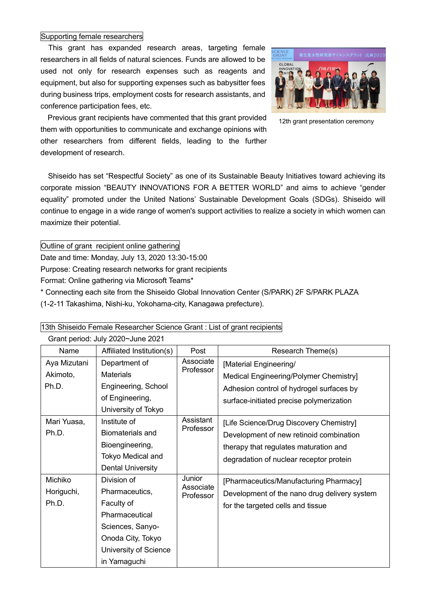## Supporting female researchers

This grant has expanded research areas, targeting female researchers in all fields of natural sciences. Funds are allowed to be used not only for research expenses such as reagents and equipment, but also for supporting expenses such as babysitter fees during business trips, employment costs for research assistants, and conference participation fees, etc.



12th grant presentation ceremony

Previous grant recipients have commented that this grant provided them with opportunities to communicate and exchange opinions with other researchers from different fields, leading to the further development of research.

Shiseido has set "Respectful Society" as one of its Sustainable Beauty Initiatives toward achieving its corporate mission "BEAUTY INNOVATIONS FOR A BETTER WORLD" and aims to achieve "gender equality" promoted under the United Nations' Sustainable Development Goals (SDGs). Shiseido will continue to engage in a wide range of women's support activities to realize a society in which women can maximize their potential.

Outline of grant recipient online gathering

Date and time: Monday, July 13, 2020 13:30-15:00

Purpose: Creating research networks for grant recipients

Format: Online gathering via Microsoft Teams\*

\* Connecting each site from the Shiseido Global Innovation Center (S/PARK) 2F S/PARK PLAZA

(1-2-11 Takashima, Nishi-ku, Yokohama-city, Kanagawa prefecture).

| Grant period: July 2020~June 2021 |                           |                                  |                                              |  |  |
|-----------------------------------|---------------------------|----------------------------------|----------------------------------------------|--|--|
| Name                              | Affiliated Institution(s) | Post                             | Research Theme(s)                            |  |  |
| Aya Mizutani                      | Department of             | Associate<br>Professor           | [Material Engineering/                       |  |  |
| Akimoto,                          | <b>Materials</b>          |                                  | Medical Engineering/Polymer Chemistry]       |  |  |
| Ph.D.                             | Engineering, School       |                                  | Adhesion control of hydrogel surfaces by     |  |  |
|                                   | of Engineering,           |                                  | surface-initiated precise polymerization     |  |  |
|                                   | University of Tokyo       |                                  |                                              |  |  |
| Mari Yuasa,                       | Institute of              | Assistant<br>Professor           | [Life Science/Drug Discovery Chemistry]      |  |  |
| Ph.D.                             | <b>Biomaterials and</b>   |                                  | Development of new retinoid combination      |  |  |
|                                   | Bioengineering,           |                                  | therapy that regulates maturation and        |  |  |
|                                   | Tokyo Medical and         |                                  | degradation of nuclear receptor protein      |  |  |
|                                   | <b>Dental University</b>  |                                  |                                              |  |  |
| Michiko                           | Division of               | Junior<br>Associate<br>Professor | [Pharmaceutics/Manufacturing Pharmacy]       |  |  |
| Horiguchi,                        | Pharmaceutics,            |                                  | Development of the nano drug delivery system |  |  |
| Ph.D.                             | Faculty of                |                                  | for the targeted cells and tissue            |  |  |
|                                   | Pharmaceutical            |                                  |                                              |  |  |
|                                   | Sciences, Sanyo-          |                                  |                                              |  |  |
|                                   | Onoda City, Tokyo         |                                  |                                              |  |  |
|                                   | University of Science     |                                  |                                              |  |  |
|                                   | in Yamaguchi              |                                  |                                              |  |  |

13th Shiseido Female Researcher Science Grant : List of grant recipients